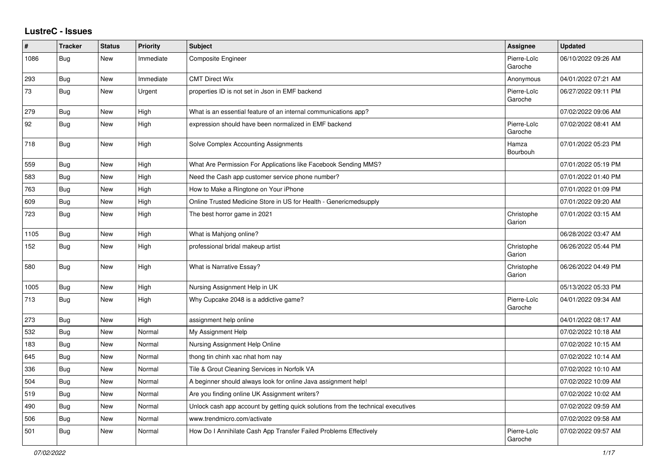## **LustreC - Issues**

| #    | <b>Tracker</b> | <b>Status</b> | <b>Priority</b> | <b>Subject</b>                                                                   | Assignee               | <b>Updated</b>      |
|------|----------------|---------------|-----------------|----------------------------------------------------------------------------------|------------------------|---------------------|
| 1086 | <b>Bug</b>     | <b>New</b>    | Immediate       | Composite Engineer                                                               | Pierre-Loïc<br>Garoche | 06/10/2022 09:26 AM |
| 293  | Bug            | New           | Immediate       | <b>CMT Direct Wix</b>                                                            | Anonymous              | 04/01/2022 07:21 AM |
| 73   | Bug            | New           | Urgent          | properties ID is not set in Json in EMF backend                                  | Pierre-Loïc<br>Garoche | 06/27/2022 09:11 PM |
| 279  | <b>Bug</b>     | New           | High            | What is an essential feature of an internal communications app?                  |                        | 07/02/2022 09:06 AM |
| 92   | <b>Bug</b>     | <b>New</b>    | High            | expression should have been normalized in EMF backend                            | Pierre-Loïc<br>Garoche | 07/02/2022 08:41 AM |
| 718  | Bug            | New           | High            | Solve Complex Accounting Assignments                                             | Hamza<br>Bourbouh      | 07/01/2022 05:23 PM |
| 559  | <b>Bug</b>     | <b>New</b>    | High            | What Are Permission For Applications like Facebook Sending MMS?                  |                        | 07/01/2022 05:19 PM |
| 583  | <b>Bug</b>     | <b>New</b>    | High            | Need the Cash app customer service phone number?                                 |                        | 07/01/2022 01:40 PM |
| 763  | Bug            | <b>New</b>    | High            | How to Make a Ringtone on Your iPhone                                            |                        | 07/01/2022 01:09 PM |
| 609  | <b>Bug</b>     | <b>New</b>    | High            | Online Trusted Medicine Store in US for Health - Genericmedsupply                |                        | 07/01/2022 09:20 AM |
| 723  | <b>Bug</b>     | New           | High            | The best horror game in 2021                                                     | Christophe<br>Garion   | 07/01/2022 03:15 AM |
| 1105 | <b>Bug</b>     | New           | High            | What is Mahjong online?                                                          |                        | 06/28/2022 03:47 AM |
| 152  | Bug            | New           | High            | professional bridal makeup artist                                                | Christophe<br>Garion   | 06/26/2022 05:44 PM |
| 580  | <b>Bug</b>     | <b>New</b>    | High            | What is Narrative Essay?                                                         | Christophe<br>Garion   | 06/26/2022 04:49 PM |
| 1005 | Bug            | New           | High            | Nursing Assignment Help in UK                                                    |                        | 05/13/2022 05:33 PM |
| 713  | Bug            | <b>New</b>    | High            | Why Cupcake 2048 is a addictive game?                                            | Pierre-Loïc<br>Garoche | 04/01/2022 09:34 AM |
| 273  | Bug            | New           | High            | assignment help online                                                           |                        | 04/01/2022 08:17 AM |
| 532  | Bug            | <b>New</b>    | Normal          | My Assignment Help                                                               |                        | 07/02/2022 10:18 AM |
| 183  | <b>Bug</b>     | New           | Normal          | Nursing Assignment Help Online                                                   |                        | 07/02/2022 10:15 AM |
| 645  | <b>Bug</b>     | New           | Normal          | thong tin chinh xac nhat hom nay                                                 |                        | 07/02/2022 10:14 AM |
| 336  | Bug            | New           | Normal          | Tile & Grout Cleaning Services in Norfolk VA                                     |                        | 07/02/2022 10:10 AM |
| 504  | Bug            | <b>New</b>    | Normal          | A beginner should always look for online Java assignment help!                   |                        | 07/02/2022 10:09 AM |
| 519  | Bug            | <b>New</b>    | Normal          | Are you finding online UK Assignment writers?                                    |                        | 07/02/2022 10:02 AM |
| 490  | Bug            | New           | Normal          | Unlock cash app account by getting quick solutions from the technical executives |                        | 07/02/2022 09:59 AM |
| 506  | Bug            | New           | Normal          | www.trendmicro.com/activate                                                      |                        | 07/02/2022 09:58 AM |
| 501  | Bug            | New           | Normal          | How Do I Annihilate Cash App Transfer Failed Problems Effectively                | Pierre-Loïc<br>Garoche | 07/02/2022 09:57 AM |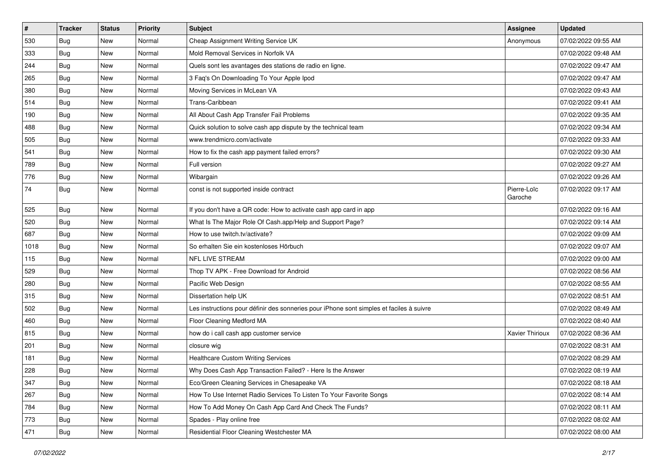| $\vert$ # | <b>Tracker</b> | <b>Status</b> | Priority | <b>Subject</b>                                                                           | Assignee               | <b>Updated</b>      |
|-----------|----------------|---------------|----------|------------------------------------------------------------------------------------------|------------------------|---------------------|
| 530       | Bug            | New           | Normal   | Cheap Assignment Writing Service UK                                                      | Anonymous              | 07/02/2022 09:55 AM |
| 333       | Bug            | New           | Normal   | Mold Removal Services in Norfolk VA                                                      |                        | 07/02/2022 09:48 AM |
| 244       | Bug            | New           | Normal   | Quels sont les avantages des stations de radio en ligne.                                 |                        | 07/02/2022 09:47 AM |
| 265       | Bug            | <b>New</b>    | Normal   | 3 Faq's On Downloading To Your Apple Ipod                                                |                        | 07/02/2022 09:47 AM |
| 380       | Bug            | New           | Normal   | Moving Services in McLean VA                                                             |                        | 07/02/2022 09:43 AM |
| 514       | Bug            | New           | Normal   | Trans-Caribbean                                                                          |                        | 07/02/2022 09:41 AM |
| 190       | Bug            | New           | Normal   | All About Cash App Transfer Fail Problems                                                |                        | 07/02/2022 09:35 AM |
| 488       | <b>Bug</b>     | New           | Normal   | Quick solution to solve cash app dispute by the technical team                           |                        | 07/02/2022 09:34 AM |
| 505       | Bug            | New           | Normal   | www.trendmicro.com/activate                                                              |                        | 07/02/2022 09:33 AM |
| 541       | Bug            | New           | Normal   | How to fix the cash app payment failed errors?                                           |                        | 07/02/2022 09:30 AM |
| 789       | <b>Bug</b>     | New           | Normal   | Full version                                                                             |                        | 07/02/2022 09:27 AM |
| 776       | Bug            | New           | Normal   | Wibargain                                                                                |                        | 07/02/2022 09:26 AM |
| 74        | <b>Bug</b>     | New           | Normal   | const is not supported inside contract                                                   | Pierre-Loïc<br>Garoche | 07/02/2022 09:17 AM |
| 525       | Bug            | New           | Normal   | If you don't have a QR code: How to activate cash app card in app                        |                        | 07/02/2022 09:16 AM |
| 520       | <b>Bug</b>     | New           | Normal   | What Is The Major Role Of Cash.app/Help and Support Page?                                |                        | 07/02/2022 09:14 AM |
| 687       | Bug            | New           | Normal   | How to use twitch.tv/activate?                                                           |                        | 07/02/2022 09:09 AM |
| 1018      | Bug            | New           | Normal   | So erhalten Sie ein kostenloses Hörbuch                                                  |                        | 07/02/2022 09:07 AM |
| 115       | <b>Bug</b>     | New           | Normal   | <b>NFL LIVE STREAM</b>                                                                   |                        | 07/02/2022 09:00 AM |
| 529       | Bug            | New           | Normal   | Thop TV APK - Free Download for Android                                                  |                        | 07/02/2022 08:56 AM |
| 280       | Bug            | <b>New</b>    | Normal   | Pacific Web Design                                                                       |                        | 07/02/2022 08:55 AM |
| 315       | Bug            | New           | Normal   | Dissertation help UK                                                                     |                        | 07/02/2022 08:51 AM |
| 502       | Bug            | New           | Normal   | Les instructions pour définir des sonneries pour iPhone sont simples et faciles à suivre |                        | 07/02/2022 08:49 AM |
| 460       | <b>Bug</b>     | New           | Normal   | Floor Cleaning Medford MA                                                                |                        | 07/02/2022 08:40 AM |
| 815       | Bug            | New           | Normal   | how do i call cash app customer service                                                  | Xavier Thirioux        | 07/02/2022 08:36 AM |
| 201       | Bug            | New           | Normal   | closure wig                                                                              |                        | 07/02/2022 08:31 AM |
| 181       | Bug            | New           | Normal   | <b>Healthcare Custom Writing Services</b>                                                |                        | 07/02/2022 08:29 AM |
| 228       | <b>Bug</b>     | New           | Normal   | Why Does Cash App Transaction Failed? - Here Is the Answer                               |                        | 07/02/2022 08:19 AM |
| 347       | <b>Bug</b>     | New           | Normal   | Eco/Green Cleaning Services in Chesapeake VA                                             |                        | 07/02/2022 08:18 AM |
| 267       | <b>Bug</b>     | New           | Normal   | How To Use Internet Radio Services To Listen To Your Favorite Songs                      |                        | 07/02/2022 08:14 AM |
| 784       | <b>Bug</b>     | New           | Normal   | How To Add Money On Cash App Card And Check The Funds?                                   |                        | 07/02/2022 08:11 AM |
| 773       | <b>Bug</b>     | New           | Normal   | Spades - Play online free                                                                |                        | 07/02/2022 08:02 AM |
| 471       | Bug            | New           | Normal   | Residential Floor Cleaning Westchester MA                                                |                        | 07/02/2022 08:00 AM |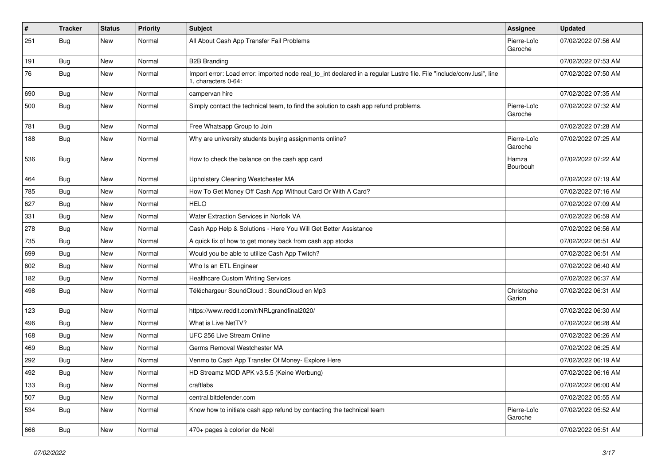| $\vert$ # | <b>Tracker</b> | <b>Status</b> | <b>Priority</b> | <b>Subject</b>                                                                                                                               | Assignee               | <b>Updated</b>      |
|-----------|----------------|---------------|-----------------|----------------------------------------------------------------------------------------------------------------------------------------------|------------------------|---------------------|
| 251       | <b>Bug</b>     | New           | Normal          | All About Cash App Transfer Fail Problems                                                                                                    | Pierre-Loïc<br>Garoche | 07/02/2022 07:56 AM |
| 191       | Bug            | New           | Normal          | <b>B2B Branding</b>                                                                                                                          |                        | 07/02/2022 07:53 AM |
| 76        | <b>Bug</b>     | New           | Normal          | Import error: Load error: imported node real_to_int declared in a regular Lustre file. File "include/conv.lusi", line<br>1, characters 0-64: |                        | 07/02/2022 07:50 AM |
| 690       | Bug            | New           | Normal          | campervan hire                                                                                                                               |                        | 07/02/2022 07:35 AM |
| 500       | <b>Bug</b>     | New           | Normal          | Simply contact the technical team, to find the solution to cash app refund problems.                                                         | Pierre-Loïc<br>Garoche | 07/02/2022 07:32 AM |
| 781       | Bug            | New           | Normal          | Free Whatsapp Group to Join                                                                                                                  |                        | 07/02/2022 07:28 AM |
| 188       | <b>Bug</b>     | New           | Normal          | Why are university students buying assignments online?                                                                                       | Pierre-Loïc<br>Garoche | 07/02/2022 07:25 AM |
| 536       | <b>Bug</b>     | New           | Normal          | How to check the balance on the cash app card                                                                                                | Hamza<br>Bourbouh      | 07/02/2022 07:22 AM |
| 464       | Bug            | New           | Normal          | Upholstery Cleaning Westchester MA                                                                                                           |                        | 07/02/2022 07:19 AM |
| 785       | Bug            | New           | Normal          | How To Get Money Off Cash App Without Card Or With A Card?                                                                                   |                        | 07/02/2022 07:16 AM |
| 627       | Bug            | New           | Normal          | <b>HELO</b>                                                                                                                                  |                        | 07/02/2022 07:09 AM |
| 331       | Bug            | New           | Normal          | Water Extraction Services in Norfolk VA                                                                                                      |                        | 07/02/2022 06:59 AM |
| 278       | <b>Bug</b>     | New           | Normal          | Cash App Help & Solutions - Here You Will Get Better Assistance                                                                              |                        | 07/02/2022 06:56 AM |
| 735       | Bug            | New           | Normal          | A quick fix of how to get money back from cash app stocks                                                                                    |                        | 07/02/2022 06:51 AM |
| 699       | <b>Bug</b>     | New           | Normal          | Would you be able to utilize Cash App Twitch?                                                                                                |                        | 07/02/2022 06:51 AM |
| 802       | Bug            | New           | Normal          | Who Is an ETL Engineer                                                                                                                       |                        | 07/02/2022 06:40 AM |
| 182       | <b>Bug</b>     | New           | Normal          | <b>Healthcare Custom Writing Services</b>                                                                                                    |                        | 07/02/2022 06:37 AM |
| 498       | Bug            | New           | Normal          | Téléchargeur SoundCloud : SoundCloud en Mp3                                                                                                  | Christophe<br>Garion   | 07/02/2022 06:31 AM |
| 123       | Bug            | New           | Normal          | https://www.reddit.com/r/NRLgrandfinal2020/                                                                                                  |                        | 07/02/2022 06:30 AM |
| 496       | Bug            | New           | Normal          | What is Live NetTV?                                                                                                                          |                        | 07/02/2022 06:28 AM |
| 168       | Bug            | New           | Normal          | UFC 256 Live Stream Online                                                                                                                   |                        | 07/02/2022 06:26 AM |
| 469       | Bug            | New           | Normal          | Germs Removal Westchester MA                                                                                                                 |                        | 07/02/2022 06:25 AM |
| 292       | <b>Bug</b>     | <b>New</b>    | Normal          | Venmo to Cash App Transfer Of Money- Explore Here                                                                                            |                        | 07/02/2022 06:19 AM |
| 492       | Bug            | New           | Normal          | HD Streamz MOD APK v3.5.5 (Keine Werbung)                                                                                                    |                        | 07/02/2022 06:16 AM |
| 133       | <b>Bug</b>     | New           | Normal          | craftlabs                                                                                                                                    |                        | 07/02/2022 06:00 AM |
| 507       | <b>Bug</b>     | New           | Normal          | central.bitdefender.com                                                                                                                      |                        | 07/02/2022 05:55 AM |
| 534       | Bug            | New           | Normal          | Know how to initiate cash app refund by contacting the technical team                                                                        | Pierre-Loïc<br>Garoche | 07/02/2022 05:52 AM |
| 666       | Bug            | New           | Normal          | 470+ pages à colorier de Noël                                                                                                                |                        | 07/02/2022 05:51 AM |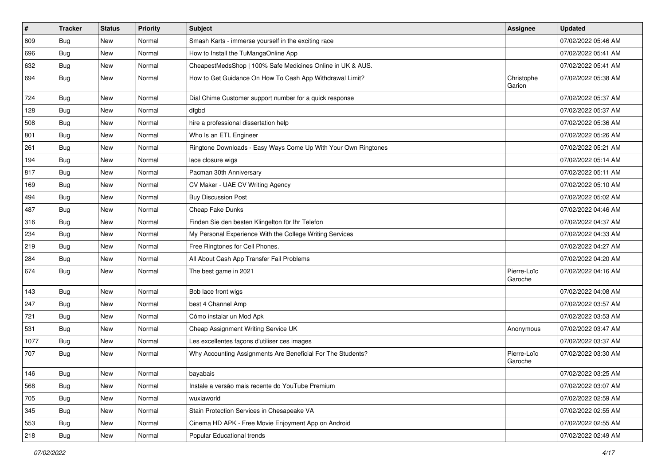| $\vert$ # | <b>Tracker</b> | <b>Status</b> | Priority | <b>Subject</b>                                                 | Assignee               | <b>Updated</b>      |
|-----------|----------------|---------------|----------|----------------------------------------------------------------|------------------------|---------------------|
| 809       | <b>Bug</b>     | New           | Normal   | Smash Karts - immerse yourself in the exciting race            |                        | 07/02/2022 05:46 AM |
| 696       | <b>Bug</b>     | New           | Normal   | How to Install the TuMangaOnline App                           |                        | 07/02/2022 05:41 AM |
| 632       | <b>Bug</b>     | New           | Normal   | CheapestMedsShop   100% Safe Medicines Online in UK & AUS.     |                        | 07/02/2022 05:41 AM |
| 694       | <b>Bug</b>     | New           | Normal   | How to Get Guidance On How To Cash App Withdrawal Limit?       | Christophe<br>Garion   | 07/02/2022 05:38 AM |
| 724       | <b>Bug</b>     | <b>New</b>    | Normal   | Dial Chime Customer support number for a quick response        |                        | 07/02/2022 05:37 AM |
| 128       | <b>Bug</b>     | New           | Normal   | dfgbd                                                          |                        | 07/02/2022 05:37 AM |
| 508       | Bug            | New           | Normal   | hire a professional dissertation help                          |                        | 07/02/2022 05:36 AM |
| 801       | <b>Bug</b>     | New           | Normal   | Who Is an ETL Engineer                                         |                        | 07/02/2022 05:26 AM |
| 261       | <b>Bug</b>     | New           | Normal   | Ringtone Downloads - Easy Ways Come Up With Your Own Ringtones |                        | 07/02/2022 05:21 AM |
| 194       | Bug            | New           | Normal   | lace closure wigs                                              |                        | 07/02/2022 05:14 AM |
| 817       | <b>Bug</b>     | New           | Normal   | Pacman 30th Anniversary                                        |                        | 07/02/2022 05:11 AM |
| 169       | Bug            | <b>New</b>    | Normal   | CV Maker - UAE CV Writing Agency                               |                        | 07/02/2022 05:10 AM |
| 494       | Bug            | New           | Normal   | <b>Buy Discussion Post</b>                                     |                        | 07/02/2022 05:02 AM |
| 487       | <b>Bug</b>     | New           | Normal   | Cheap Fake Dunks                                               |                        | 07/02/2022 04:46 AM |
| 316       | Bug            | New           | Normal   | Finden Sie den besten Klingelton für Ihr Telefon               |                        | 07/02/2022 04:37 AM |
| 234       | <b>Bug</b>     | New           | Normal   | My Personal Experience With the College Writing Services       |                        | 07/02/2022 04:33 AM |
| 219       | Bug            | <b>New</b>    | Normal   | Free Ringtones for Cell Phones.                                |                        | 07/02/2022 04:27 AM |
| 284       | <b>Bug</b>     | New           | Normal   | All About Cash App Transfer Fail Problems                      |                        | 07/02/2022 04:20 AM |
| 674       | <b>Bug</b>     | New           | Normal   | The best game in 2021                                          | Pierre-Loïc<br>Garoche | 07/02/2022 04:16 AM |
| 143       | Bug            | <b>New</b>    | Normal   | Bob lace front wigs                                            |                        | 07/02/2022 04:08 AM |
| 247       | <b>Bug</b>     | New           | Normal   | best 4 Channel Amp                                             |                        | 07/02/2022 03:57 AM |
| 721       | <b>Bug</b>     | New           | Normal   | Cómo instalar un Mod Apk                                       |                        | 07/02/2022 03:53 AM |
| 531       | <b>Bug</b>     | New           | Normal   | Cheap Assignment Writing Service UK                            | Anonymous              | 07/02/2022 03:47 AM |
| 1077      | Bug            | <b>New</b>    | Normal   | Les excellentes façons d'utiliser ces images                   |                        | 07/02/2022 03:37 AM |
| 707       | Bug            | New           | Normal   | Why Accounting Assignments Are Beneficial For The Students?    | Pierre-Loïc<br>Garoche | 07/02/2022 03:30 AM |
| 146       | Bug            | New           | Normal   | bayabais                                                       |                        | 07/02/2022 03:25 AM |
| 568       | <b>Bug</b>     | New           | Normal   | Instale a versão mais recente do YouTube Premium               |                        | 07/02/2022 03:07 AM |
| 705       | Bug            | <b>New</b>    | Normal   | wuxiaworld                                                     |                        | 07/02/2022 02:59 AM |
| 345       | <b>Bug</b>     | New           | Normal   | Stain Protection Services in Chesapeake VA                     |                        | 07/02/2022 02:55 AM |
| 553       | <b>Bug</b>     | New           | Normal   | Cinema HD APK - Free Movie Enjoyment App on Android            |                        | 07/02/2022 02:55 AM |
| 218       | <b>Bug</b>     | New           | Normal   | Popular Educational trends                                     |                        | 07/02/2022 02:49 AM |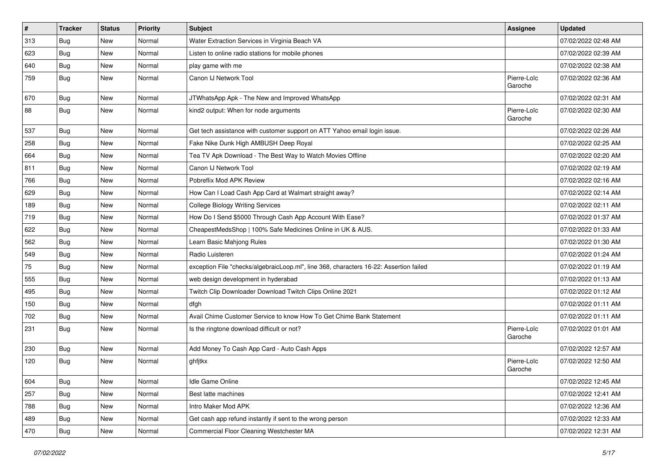| #   | Tracker    | <b>Status</b> | <b>Priority</b> | Subject                                                                                | Assignee               | <b>Updated</b>      |
|-----|------------|---------------|-----------------|----------------------------------------------------------------------------------------|------------------------|---------------------|
| 313 | <b>Bug</b> | New           | Normal          | Water Extraction Services in Virginia Beach VA                                         |                        | 07/02/2022 02:48 AM |
| 623 | Bug        | New           | Normal          | Listen to online radio stations for mobile phones                                      |                        | 07/02/2022 02:39 AM |
| 640 | <b>Bug</b> | New           | Normal          | play game with me                                                                      |                        | 07/02/2022 02:38 AM |
| 759 | Bug        | New           | Normal          | Canon IJ Network Tool                                                                  | Pierre-Loïc<br>Garoche | 07/02/2022 02:36 AM |
| 670 | Bug        | New           | Normal          | JTWhatsApp Apk - The New and Improved WhatsApp                                         |                        | 07/02/2022 02:31 AM |
| 88  | Bug        | New           | Normal          | kind2 output: When for node arguments                                                  | Pierre-Loïc<br>Garoche | 07/02/2022 02:30 AM |
| 537 | Bug        | New           | Normal          | Get tech assistance with customer support on ATT Yahoo email login issue.              |                        | 07/02/2022 02:26 AM |
| 258 | Bug        | New           | Normal          | Fake Nike Dunk High AMBUSH Deep Royal                                                  |                        | 07/02/2022 02:25 AM |
| 664 | Bug        | New           | Normal          | Tea TV Apk Download - The Best Way to Watch Movies Offline                             |                        | 07/02/2022 02:20 AM |
| 811 | Bug        | New           | Normal          | Canon IJ Network Tool                                                                  |                        | 07/02/2022 02:19 AM |
| 766 | Bug        | New           | Normal          | Pobreflix Mod APK Review                                                               |                        | 07/02/2022 02:16 AM |
| 629 | Bug        | New           | Normal          | How Can I Load Cash App Card at Walmart straight away?                                 |                        | 07/02/2022 02:14 AM |
| 189 | Bug        | <b>New</b>    | Normal          | <b>College Biology Writing Services</b>                                                |                        | 07/02/2022 02:11 AM |
| 719 | Bug        | New           | Normal          | How Do I Send \$5000 Through Cash App Account With Ease?                               |                        | 07/02/2022 01:37 AM |
| 622 | Bug        | New           | Normal          | CheapestMedsShop   100% Safe Medicines Online in UK & AUS.                             |                        | 07/02/2022 01:33 AM |
| 562 | Bug        | New           | Normal          | Learn Basic Mahjong Rules                                                              |                        | 07/02/2022 01:30 AM |
| 549 | <b>Bug</b> | New           | Normal          | Radio Luisteren                                                                        |                        | 07/02/2022 01:24 AM |
| 75  | <b>Bug</b> | <b>New</b>    | Normal          | exception File "checks/algebraicLoop.ml", line 368, characters 16-22: Assertion failed |                        | 07/02/2022 01:19 AM |
| 555 | <b>Bug</b> | New           | Normal          | web design development in hyderabad                                                    |                        | 07/02/2022 01:13 AM |
| 495 | <b>Bug</b> | New           | Normal          | Twitch Clip Downloader Download Twitch Clips Online 2021                               |                        | 07/02/2022 01:12 AM |
| 150 | Bug        | New           | Normal          | dfgh                                                                                   |                        | 07/02/2022 01:11 AM |
| 702 | <b>Bug</b> | New           | Normal          | Avail Chime Customer Service to know How To Get Chime Bank Statement                   |                        | 07/02/2022 01:11 AM |
| 231 | Bug        | New           | Normal          | Is the ringtone download difficult or not?                                             | Pierre-Loïc<br>Garoche | 07/02/2022 01:01 AM |
| 230 | Bug        | New           | Normal          | Add Money To Cash App Card - Auto Cash Apps                                            |                        | 07/02/2022 12:57 AM |
| 120 | <b>Bug</b> | New           | Normal          | ghfjtkx                                                                                | Pierre-Loïc<br>Garoche | 07/02/2022 12:50 AM |
| 604 | <b>Bug</b> | New           | Normal          | Idle Game Online                                                                       |                        | 07/02/2022 12:45 AM |
| 257 | Bug        | New           | Normal          | Best latte machines                                                                    |                        | 07/02/2022 12:41 AM |
| 788 | <b>Bug</b> | New           | Normal          | Intro Maker Mod APK                                                                    |                        | 07/02/2022 12:36 AM |
| 489 | Bug        | New           | Normal          | Get cash app refund instantly if sent to the wrong person                              |                        | 07/02/2022 12:33 AM |
| 470 | <b>Bug</b> | New           | Normal          | Commercial Floor Cleaning Westchester MA                                               |                        | 07/02/2022 12:31 AM |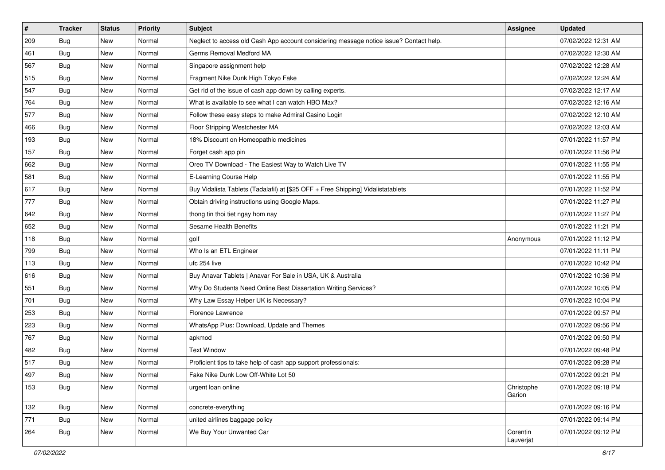| $\vert$ # | <b>Tracker</b> | <b>Status</b> | <b>Priority</b> | <b>Subject</b>                                                                         | <b>Assignee</b>       | <b>Updated</b>      |
|-----------|----------------|---------------|-----------------|----------------------------------------------------------------------------------------|-----------------------|---------------------|
| 209       | <b>Bug</b>     | New           | Normal          | Neglect to access old Cash App account considering message notice issue? Contact help. |                       | 07/02/2022 12:31 AM |
| 461       | Bug            | New           | Normal          | Germs Removal Medford MA                                                               |                       | 07/02/2022 12:30 AM |
| 567       | Bug            | New           | Normal          | Singapore assignment help                                                              |                       | 07/02/2022 12:28 AM |
| 515       | Bug            | New           | Normal          | Fragment Nike Dunk High Tokyo Fake                                                     |                       | 07/02/2022 12:24 AM |
| 547       | <b>Bug</b>     | New           | Normal          | Get rid of the issue of cash app down by calling experts.                              |                       | 07/02/2022 12:17 AM |
| 764       | <b>Bug</b>     | New           | Normal          | What is available to see what I can watch HBO Max?                                     |                       | 07/02/2022 12:16 AM |
| 577       | Bug            | New           | Normal          | Follow these easy steps to make Admiral Casino Login                                   |                       | 07/02/2022 12:10 AM |
| 466       | <b>Bug</b>     | <b>New</b>    | Normal          | Floor Stripping Westchester MA                                                         |                       | 07/02/2022 12:03 AM |
| 193       | <b>Bug</b>     | New           | Normal          | 18% Discount on Homeopathic medicines                                                  |                       | 07/01/2022 11:57 PM |
| 157       | Bug            | <b>New</b>    | Normal          | Forget cash app pin                                                                    |                       | 07/01/2022 11:56 PM |
| 662       | <b>Bug</b>     | New           | Normal          | Oreo TV Download - The Easiest Way to Watch Live TV                                    |                       | 07/01/2022 11:55 PM |
| 581       | <b>Bug</b>     | <b>New</b>    | Normal          | E-Learning Course Help                                                                 |                       | 07/01/2022 11:55 PM |
| 617       | Bug            | New           | Normal          | Buy Vidalista Tablets (Tadalafil) at [\$25 OFF + Free Shipping] Vidalistatablets       |                       | 07/01/2022 11:52 PM |
| 777       | <b>Bug</b>     | New           | Normal          | Obtain driving instructions using Google Maps.                                         |                       | 07/01/2022 11:27 PM |
| 642       | <b>Bug</b>     | New           | Normal          | thong tin thoi tiet ngay hom nay                                                       |                       | 07/01/2022 11:27 PM |
| 652       | Bug            | New           | Normal          | Sesame Health Benefits                                                                 |                       | 07/01/2022 11:21 PM |
| 118       | <b>Bug</b>     | New           | Normal          | golf                                                                                   | Anonymous             | 07/01/2022 11:12 PM |
| 799       | Bug            | New           | Normal          | Who Is an ETL Engineer                                                                 |                       | 07/01/2022 11:11 PM |
| 113       | <b>Bug</b>     | New           | Normal          | ufc 254 live                                                                           |                       | 07/01/2022 10:42 PM |
| 616       | <b>Bug</b>     | New           | Normal          | Buy Anavar Tablets   Anavar For Sale in USA, UK & Australia                            |                       | 07/01/2022 10:36 PM |
| 551       | <b>Bug</b>     | <b>New</b>    | Normal          | Why Do Students Need Online Best Dissertation Writing Services?                        |                       | 07/01/2022 10:05 PM |
| 701       | <b>Bug</b>     | New           | Normal          | Why Law Essay Helper UK is Necessary?                                                  |                       | 07/01/2022 10:04 PM |
| 253       | Bug            | New           | Normal          | Florence Lawrence                                                                      |                       | 07/01/2022 09:57 PM |
| 223       | <b>Bug</b>     | New           | Normal          | WhatsApp Plus: Download, Update and Themes                                             |                       | 07/01/2022 09:56 PM |
| 767       | Bug            | New           | Normal          | apkmod                                                                                 |                       | 07/01/2022 09:50 PM |
| 482       | Bug            | New           | Normal          | <b>Text Window</b>                                                                     |                       | 07/01/2022 09:48 PM |
| 517       | <b>Bug</b>     | New           | Normal          | Proficient tips to take help of cash app support professionals:                        |                       | 07/01/2022 09:28 PM |
| 497       | Bug            | New           | Normal          | Fake Nike Dunk Low Off-White Lot 50                                                    |                       | 07/01/2022 09:21 PM |
| 153       | Bug            | New           | Normal          | urgent loan online                                                                     | Christophe<br>Garion  | 07/01/2022 09:18 PM |
| 132       | Bug            | New           | Normal          | concrete-everything                                                                    |                       | 07/01/2022 09:16 PM |
| 771       | Bug            | New           | Normal          | united airlines baggage policy                                                         |                       | 07/01/2022 09:14 PM |
| 264       | <b>Bug</b>     | New           | Normal          | We Buy Your Unwanted Car                                                               | Corentin<br>Lauverjat | 07/01/2022 09:12 PM |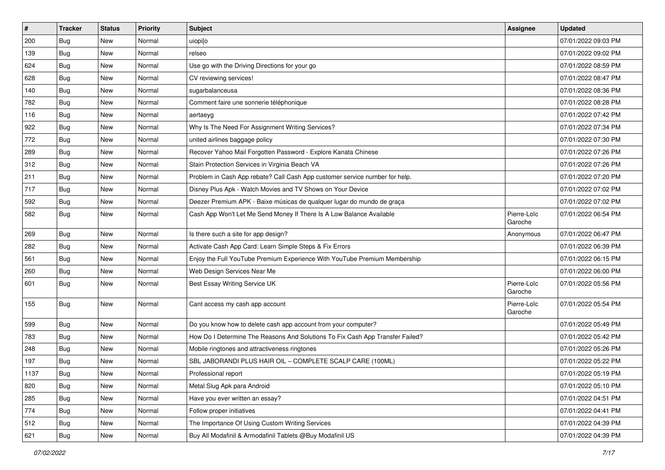| $\vert$ # | <b>Tracker</b> | <b>Status</b> | <b>Priority</b> | Subject                                                                       | Assignee               | <b>Updated</b>      |
|-----------|----------------|---------------|-----------------|-------------------------------------------------------------------------------|------------------------|---------------------|
| 200       | Bug            | New           | Normal          | uiopilo                                                                       |                        | 07/01/2022 09:03 PM |
| 139       | <b>Bug</b>     | New           | Normal          | relseo                                                                        |                        | 07/01/2022 09:02 PM |
| 624       | Bug            | New           | Normal          | Use go with the Driving Directions for your go                                |                        | 07/01/2022 08:59 PM |
| 628       | Bug            | New           | Normal          | CV reviewing services!                                                        |                        | 07/01/2022 08:47 PM |
| 140       | Bug            | New           | Normal          | sugarbalanceusa                                                               |                        | 07/01/2022 08:36 PM |
| 782       | <b>Bug</b>     | New           | Normal          | Comment faire une sonnerie téléphonique                                       |                        | 07/01/2022 08:28 PM |
| 116       | <b>Bug</b>     | New           | Normal          | aertaeyg                                                                      |                        | 07/01/2022 07:42 PM |
| 922       | <b>Bug</b>     | New           | Normal          | Why Is The Need For Assignment Writing Services?                              |                        | 07/01/2022 07:34 PM |
| 772       | Bug            | New           | Normal          | united airlines baggage policy                                                |                        | 07/01/2022 07:30 PM |
| 289       | Bug            | New           | Normal          | Recover Yahoo Mail Forgotten Password - Explore Kanata Chinese                |                        | 07/01/2022 07:26 PM |
| 312       | <b>Bug</b>     | New           | Normal          | Stain Protection Services in Virginia Beach VA                                |                        | 07/01/2022 07:26 PM |
| 211       | Bug            | New           | Normal          | Problem in Cash App rebate? Call Cash App customer service number for help.   |                        | 07/01/2022 07:20 PM |
| 717       | Bug            | New           | Normal          | Disney Plus Apk - Watch Movies and TV Shows on Your Device                    |                        | 07/01/2022 07:02 PM |
| 592       | <b>Bug</b>     | New           | Normal          | Deezer Premium APK - Baixe músicas de qualquer lugar do mundo de graça        |                        | 07/01/2022 07:02 PM |
| 582       | <b>Bug</b>     | New           | Normal          | Cash App Won't Let Me Send Money If There Is A Low Balance Available          | Pierre-Loïc<br>Garoche | 07/01/2022 06:54 PM |
| 269       | Bug            | New           | Normal          | Is there such a site for app design?                                          | Anonymous              | 07/01/2022 06:47 PM |
| 282       | Bug            | New           | Normal          | Activate Cash App Card: Learn Simple Steps & Fix Errors                       |                        | 07/01/2022 06:39 PM |
| 561       | <b>Bug</b>     | New           | Normal          | Enjoy the Full YouTube Premium Experience With YouTube Premium Membership     |                        | 07/01/2022 06:15 PM |
| 260       | <b>Bug</b>     | New           | Normal          | Web Design Services Near Me                                                   |                        | 07/01/2022 06:00 PM |
| 601       | <b>Bug</b>     | New           | Normal          | Best Essay Writing Service UK                                                 | Pierre-Loïc<br>Garoche | 07/01/2022 05:56 PM |
| 155       | Bug            | New           | Normal          | Cant access my cash app account                                               | Pierre-Loïc<br>Garoche | 07/01/2022 05:54 PM |
| 599       | <b>Bug</b>     | New           | Normal          | Do you know how to delete cash app account from your computer?                |                        | 07/01/2022 05:49 PM |
| 783       | Bug            | New           | Normal          | How Do I Determine The Reasons And Solutions To Fix Cash App Transfer Failed? |                        | 07/01/2022 05:42 PM |
| 248       | Bug            | New           | Normal          | Mobile ringtones and attractiveness ringtones                                 |                        | 07/01/2022 05:26 PM |
| 197       | <b>Bug</b>     | New           | Normal          | SBL JABORANDI PLUS HAIR OIL - COMPLETE SCALP CARE (100ML)                     |                        | 07/01/2022 05:22 PM |
| 1137      | Bug            | New           | Normal          | Professional report                                                           |                        | 07/01/2022 05:19 PM |
| 820       | Bug            | New           | Normal          | Metal Slug Apk para Android                                                   |                        | 07/01/2022 05:10 PM |
| 285       | <b>Bug</b>     | New           | Normal          | Have you ever written an essay?                                               |                        | 07/01/2022 04:51 PM |
| 774       | <b>Bug</b>     | New           | Normal          | Follow proper initiatives                                                     |                        | 07/01/2022 04:41 PM |
| 512       | <b>Bug</b>     | New           | Normal          | The Importance Of Using Custom Writing Services                               |                        | 07/01/2022 04:39 PM |
| 621       | <b>Bug</b>     | New           | Normal          | Buy All Modafinil & Armodafinil Tablets @Buy Modafinil US                     |                        | 07/01/2022 04:39 PM |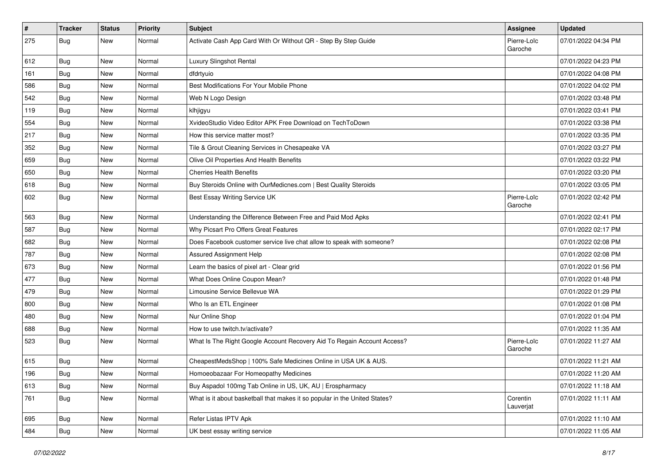| $\sharp$ | <b>Tracker</b> | <b>Status</b> | <b>Priority</b> | <b>Subject</b>                                                             | Assignee               | <b>Updated</b>      |
|----------|----------------|---------------|-----------------|----------------------------------------------------------------------------|------------------------|---------------------|
| 275      | <b>Bug</b>     | New           | Normal          | Activate Cash App Card With Or Without QR - Step By Step Guide             | Pierre-Loïc<br>Garoche | 07/01/2022 04:34 PM |
| 612      | Bug            | New           | Normal          | Luxury Slingshot Rental                                                    |                        | 07/01/2022 04:23 PM |
| 161      | <b>Bug</b>     | New           | Normal          | dfdrtyuio                                                                  |                        | 07/01/2022 04:08 PM |
| 586      | Bug            | New           | Normal          | Best Modifications For Your Mobile Phone                                   |                        | 07/01/2022 04:02 PM |
| 542      | <b>Bug</b>     | New           | Normal          | Web N Logo Design                                                          |                        | 07/01/2022 03:48 PM |
| 119      | Bug            | New           | Normal          | klhjigyu                                                                   |                        | 07/01/2022 03:41 PM |
| 554      | Bug            | New           | Normal          | XvideoStudio Video Editor APK Free Download on TechToDown                  |                        | 07/01/2022 03:38 PM |
| 217      | <b>Bug</b>     | New           | Normal          | How this service matter most?                                              |                        | 07/01/2022 03:35 PM |
| 352      | <b>Bug</b>     | New           | Normal          | Tile & Grout Cleaning Services in Chesapeake VA                            |                        | 07/01/2022 03:27 PM |
| 659      | Bug            | New           | Normal          | Olive Oil Properties And Health Benefits                                   |                        | 07/01/2022 03:22 PM |
| 650      | <b>Bug</b>     | New           | Normal          | <b>Cherries Health Benefits</b>                                            |                        | 07/01/2022 03:20 PM |
| 618      | Bug            | New           | Normal          | Buy Steroids Online with OurMedicnes.com   Best Quality Steroids           |                        | 07/01/2022 03:05 PM |
| 602      | <b>Bug</b>     | New           | Normal          | Best Essay Writing Service UK                                              | Pierre-Loïc<br>Garoche | 07/01/2022 02:42 PM |
| 563      | Bug            | New           | Normal          | Understanding the Difference Between Free and Paid Mod Apks                |                        | 07/01/2022 02:41 PM |
| 587      | <b>Bug</b>     | New           | Normal          | Why Picsart Pro Offers Great Features                                      |                        | 07/01/2022 02:17 PM |
| 682      | Bug            | New           | Normal          | Does Facebook customer service live chat allow to speak with someone?      |                        | 07/01/2022 02:08 PM |
| 787      | <b>Bug</b>     | New           | Normal          | Assured Assignment Help                                                    |                        | 07/01/2022 02:08 PM |
| 673      | <b>Bug</b>     | New           | Normal          | Learn the basics of pixel art - Clear grid                                 |                        | 07/01/2022 01:56 PM |
| 477      | <b>Bug</b>     | New           | Normal          | What Does Online Coupon Mean?                                              |                        | 07/01/2022 01:48 PM |
| 479      | Bug            | New           | Normal          | Limousine Service Bellevue WA                                              |                        | 07/01/2022 01:29 PM |
| 800      | Bug            | New           | Normal          | Who Is an ETL Engineer                                                     |                        | 07/01/2022 01:08 PM |
| 480      | <b>Bug</b>     | New           | Normal          | Nur Online Shop                                                            |                        | 07/01/2022 01:04 PM |
| 688      | <b>Bug</b>     | New           | Normal          | How to use twitch.tv/activate?                                             |                        | 07/01/2022 11:35 AM |
| 523      | Bug            | New           | Normal          | What Is The Right Google Account Recovery Aid To Regain Account Access?    | Pierre-Loïc<br>Garoche | 07/01/2022 11:27 AM |
| 615      | <b>Bug</b>     | New           | Normal          | CheapestMedsShop   100% Safe Medicines Online in USA UK & AUS.             |                        | 07/01/2022 11:21 AM |
| 196      | Bug            | New           | Normal          | Homoeobazaar For Homeopathy Medicines                                      |                        | 07/01/2022 11:20 AM |
| 613      | Bug            | New           | Normal          | Buy Aspadol 100mg Tab Online in US, UK, AU   Erospharmacy                  |                        | 07/01/2022 11:18 AM |
| 761      | Bug            | New           | Normal          | What is it about basketball that makes it so popular in the United States? | Corentin<br>Lauverjat  | 07/01/2022 11:11 AM |
| 695      | Bug            | New           | Normal          | Refer Listas IPTV Apk                                                      |                        | 07/01/2022 11:10 AM |
| 484      | Bug            | New           | Normal          | UK best essay writing service                                              |                        | 07/01/2022 11:05 AM |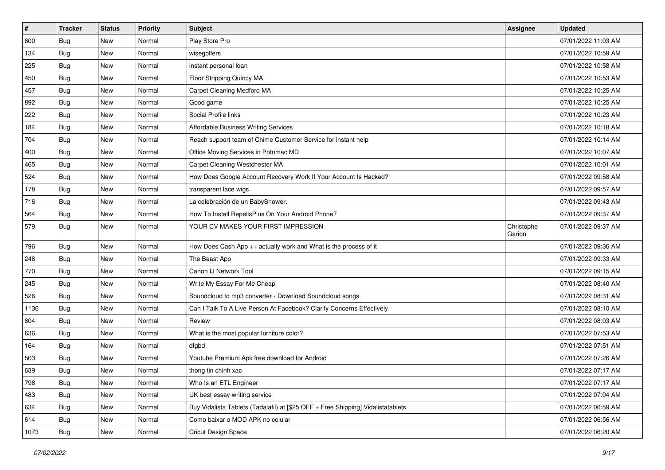| $\vert$ # | <b>Tracker</b> | <b>Status</b> | <b>Priority</b> | <b>Subject</b>                                                                   | Assignee             | <b>Updated</b>      |
|-----------|----------------|---------------|-----------------|----------------------------------------------------------------------------------|----------------------|---------------------|
| 600       | <b>Bug</b>     | New           | Normal          | Play Store Pro                                                                   |                      | 07/01/2022 11:03 AM |
| 134       | <b>Bug</b>     | New           | Normal          | wisegolfers                                                                      |                      | 07/01/2022 10:59 AM |
| 225       | Bug            | New           | Normal          | instant personal loan                                                            |                      | 07/01/2022 10:58 AM |
| 450       | <b>Bug</b>     | New           | Normal          | Floor Stripping Quincy MA                                                        |                      | 07/01/2022 10:53 AM |
| 457       | Bug            | New           | Normal          | Carpet Cleaning Medford MA                                                       |                      | 07/01/2022 10:25 AM |
| 892       | Bug            | New           | Normal          | Good game                                                                        |                      | 07/01/2022 10:25 AM |
| 222       | Bug            | New           | Normal          | Social Profile links                                                             |                      | 07/01/2022 10:23 AM |
| 184       | <b>Bug</b>     | New           | Normal          | Affordable Business Writing Services                                             |                      | 07/01/2022 10:18 AM |
| 704       | Bug            | New           | Normal          | Reach support team of Chime Customer Service for instant help                    |                      | 07/01/2022 10:14 AM |
| 400       | Bug            | New           | Normal          | Office Moving Services in Potomac MD                                             |                      | 07/01/2022 10:07 AM |
| 465       | <b>Bug</b>     | New           | Normal          | Carpet Cleaning Westchester MA                                                   |                      | 07/01/2022 10:01 AM |
| 524       | Bug            | New           | Normal          | How Does Google Account Recovery Work If Your Account Is Hacked?                 |                      | 07/01/2022 09:58 AM |
| 178       | Bug            | New           | Normal          | transparent lace wigs                                                            |                      | 07/01/2022 09:57 AM |
| 716       | <b>Bug</b>     | New           | Normal          | La celebración de un BabyShower.                                                 |                      | 07/01/2022 09:43 AM |
| 564       | <b>Bug</b>     | New           | Normal          | How To Install RepelisPlus On Your Android Phone?                                |                      | 07/01/2022 09:37 AM |
| 579       | Bug            | New           | Normal          | YOUR CV MAKES YOUR FIRST IMPRESSION                                              | Christophe<br>Garion | 07/01/2022 09:37 AM |
| 796       | Bug            | New           | Normal          | How Does Cash App ++ actually work and What is the process of it                 |                      | 07/01/2022 09:36 AM |
| 246       | <b>Bug</b>     | New           | Normal          | The Beast App                                                                    |                      | 07/01/2022 09:33 AM |
| 770       | Bug            | New           | Normal          | Canon IJ Network Tool                                                            |                      | 07/01/2022 09:15 AM |
| 245       | Bug            | <b>New</b>    | Normal          | Write My Essay For Me Cheap                                                      |                      | 07/01/2022 08:40 AM |
| 526       | Bug            | <b>New</b>    | Normal          | Soundcloud to mp3 converter - Download Soundcloud songs                          |                      | 07/01/2022 08:31 AM |
| 1136      | Bug            | <b>New</b>    | Normal          | Can I Talk To A Live Person At Facebook? Clarify Concerns Effectively            |                      | 07/01/2022 08:10 AM |
| 804       | <b>Bug</b>     | New           | Normal          | Review                                                                           |                      | 07/01/2022 08:03 AM |
| 636       | <b>Bug</b>     | New           | Normal          | What is the most popular furniture color?                                        |                      | 07/01/2022 07:53 AM |
| 164       | Bug            | New           | Normal          | dfgbd                                                                            |                      | 07/01/2022 07:51 AM |
| 503       | <b>Bug</b>     | New           | Normal          | Youtube Premium Apk free download for Android                                    |                      | 07/01/2022 07:26 AM |
| 639       | <b>Bug</b>     | New           | Normal          | thong tin chinh xac                                                              |                      | 07/01/2022 07:17 AM |
| 798       | <b>Bug</b>     | New           | Normal          | Who Is an ETL Engineer                                                           |                      | 07/01/2022 07:17 AM |
| 483       | Bug            | New           | Normal          | UK best essay writing service                                                    |                      | 07/01/2022 07:04 AM |
| 634       | <b>Bug</b>     | New           | Normal          | Buy Vidalista Tablets (Tadalafil) at [\$25 OFF + Free Shipping] Vidalistatablets |                      | 07/01/2022 06:59 AM |
| 614       | Bug            | New           | Normal          | Como baixar o MOD APK no celular                                                 |                      | 07/01/2022 06:56 AM |
| 1073      | Bug            | New           | Normal          | Cricut Design Space                                                              |                      | 07/01/2022 06:20 AM |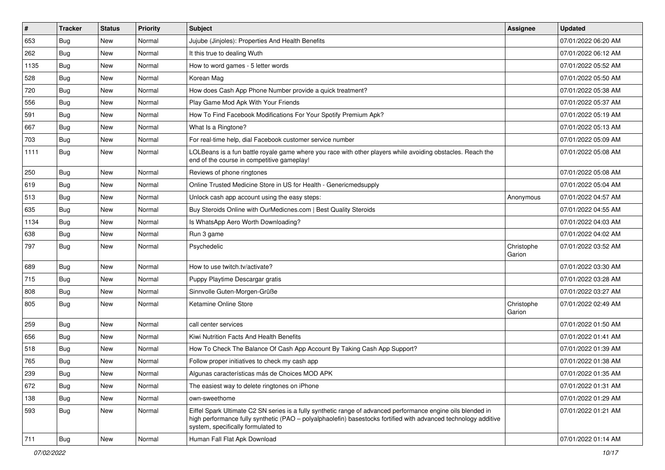| $\vert$ # | <b>Tracker</b> | <b>Status</b> | <b>Priority</b> | <b>Subject</b>                                                                                                                                                                                                                                                        | <b>Assignee</b>      | <b>Updated</b>      |
|-----------|----------------|---------------|-----------------|-----------------------------------------------------------------------------------------------------------------------------------------------------------------------------------------------------------------------------------------------------------------------|----------------------|---------------------|
| 653       | Bug            | New           | Normal          | Jujube (Jinjoles): Properties And Health Benefits                                                                                                                                                                                                                     |                      | 07/01/2022 06:20 AM |
| 262       | <b>Bug</b>     | New           | Normal          | It this true to dealing Wuth                                                                                                                                                                                                                                          |                      | 07/01/2022 06:12 AM |
| 1135      | Bug            | New           | Normal          | How to word games - 5 letter words                                                                                                                                                                                                                                    |                      | 07/01/2022 05:52 AM |
| 528       | Bug            | New           | Normal          | Korean Mag                                                                                                                                                                                                                                                            |                      | 07/01/2022 05:50 AM |
| 720       | Bug            | New           | Normal          | How does Cash App Phone Number provide a quick treatment?                                                                                                                                                                                                             |                      | 07/01/2022 05:38 AM |
| 556       | <b>Bug</b>     | New           | Normal          | Play Game Mod Apk With Your Friends                                                                                                                                                                                                                                   |                      | 07/01/2022 05:37 AM |
| 591       | Bug            | New           | Normal          | How To Find Facebook Modifications For Your Spotify Premium Apk?                                                                                                                                                                                                      |                      | 07/01/2022 05:19 AM |
| 667       | <b>Bug</b>     | New           | Normal          | What Is a Ringtone?                                                                                                                                                                                                                                                   |                      | 07/01/2022 05:13 AM |
| 703       | Bug            | New           | Normal          | For real-time help, dial Facebook customer service number                                                                                                                                                                                                             |                      | 07/01/2022 05:09 AM |
| 1111      | <b>Bug</b>     | New           | Normal          | LOLBeans is a fun battle royale game where you race with other players while avoiding obstacles. Reach the<br>end of the course in competitive gameplay!                                                                                                              |                      | 07/01/2022 05:08 AM |
| 250       | Bug            | New           | Normal          | Reviews of phone ringtones                                                                                                                                                                                                                                            |                      | 07/01/2022 05:08 AM |
| 619       | Bug            | New           | Normal          | Online Trusted Medicine Store in US for Health - Genericmedsupply                                                                                                                                                                                                     |                      | 07/01/2022 05:04 AM |
| 513       | Bug            | New           | Normal          | Unlock cash app account using the easy steps:                                                                                                                                                                                                                         | Anonymous            | 07/01/2022 04:57 AM |
| 635       | Bug            | New           | Normal          | Buy Steroids Online with OurMedicnes.com   Best Quality Steroids                                                                                                                                                                                                      |                      | 07/01/2022 04:55 AM |
| 1134      | Bug            | New           | Normal          | Is WhatsApp Aero Worth Downloading?                                                                                                                                                                                                                                   |                      | 07/01/2022 04:03 AM |
| 638       | Bug            | New           | Normal          | Run 3 game                                                                                                                                                                                                                                                            |                      | 07/01/2022 04:02 AM |
| 797       | <b>Bug</b>     | New           | Normal          | Psychedelic                                                                                                                                                                                                                                                           | Christophe<br>Garion | 07/01/2022 03:52 AM |
| 689       | Bug            | New           | Normal          | How to use twitch.tv/activate?                                                                                                                                                                                                                                        |                      | 07/01/2022 03:30 AM |
| 715       | Bug            | New           | Normal          | Puppy Playtime Descargar gratis                                                                                                                                                                                                                                       |                      | 07/01/2022 03:28 AM |
| 808       | Bug            | New           | Normal          | Sinnvolle Guten-Morgen-Grüße                                                                                                                                                                                                                                          |                      | 07/01/2022 03:27 AM |
| 805       | <b>Bug</b>     | New           | Normal          | Ketamine Online Store                                                                                                                                                                                                                                                 | Christophe<br>Garion | 07/01/2022 02:49 AM |
| 259       | Bug            | New           | Normal          | call center services                                                                                                                                                                                                                                                  |                      | 07/01/2022 01:50 AM |
| 656       | Bug            | New           | Normal          | Kiwi Nutrition Facts And Health Benefits                                                                                                                                                                                                                              |                      | 07/01/2022 01:41 AM |
| 518       | Bug            | New           | Normal          | How To Check The Balance Of Cash App Account By Taking Cash App Support?                                                                                                                                                                                              |                      | 07/01/2022 01:39 AM |
| 765       | <b>Bug</b>     | New           | Normal          | Follow proper initiatives to check my cash app                                                                                                                                                                                                                        |                      | 07/01/2022 01:38 AM |
| 239       | Bug            | New           | Normal          | Algunas características más de Choices MOD APK                                                                                                                                                                                                                        |                      | 07/01/2022 01:35 AM |
| 672       | <b>Bug</b>     | New           | Normal          | The easiest way to delete ringtones on iPhone                                                                                                                                                                                                                         |                      | 07/01/2022 01:31 AM |
| 138       | <b>Bug</b>     | New           | Normal          | own-sweethome                                                                                                                                                                                                                                                         |                      | 07/01/2022 01:29 AM |
| 593       | Bug            | New           | Normal          | Eiffel Spark Ultimate C2 SN series is a fully synthetic range of advanced performance engine oils blended in<br>high performance fully synthetic (PAO - polyalphaolefin) basestocks fortified with advanced technology additive<br>system, specifically formulated to |                      | 07/01/2022 01:21 AM |
| 711       | <b>Bug</b>     | New           | Normal          | Human Fall Flat Apk Download                                                                                                                                                                                                                                          |                      | 07/01/2022 01:14 AM |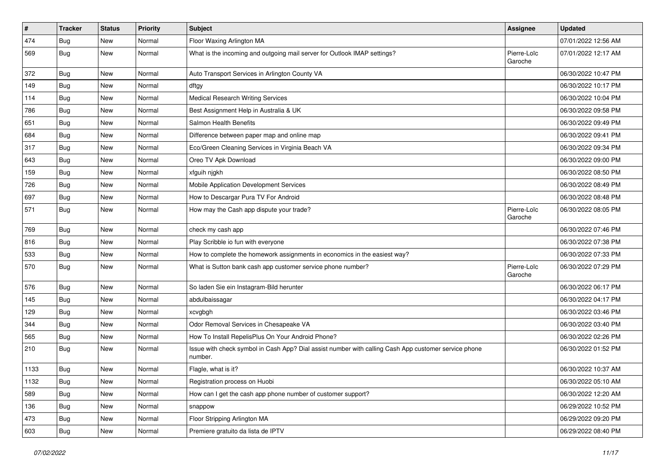| #    | <b>Tracker</b> | <b>Status</b> | <b>Priority</b> | Subject                                                                                                         | <b>Assignee</b>        | <b>Updated</b>      |
|------|----------------|---------------|-----------------|-----------------------------------------------------------------------------------------------------------------|------------------------|---------------------|
| 474  | <b>Bug</b>     | New           | Normal          | Floor Waxing Arlington MA                                                                                       |                        | 07/01/2022 12:56 AM |
| 569  | Bug            | New           | Normal          | What is the incoming and outgoing mail server for Outlook IMAP settings?                                        | Pierre-Loïc<br>Garoche | 07/01/2022 12:17 AM |
| 372  | Bug            | New           | Normal          | Auto Transport Services in Arlington County VA                                                                  |                        | 06/30/2022 10:47 PM |
| 149  | Bug            | New           | Normal          | dftgy                                                                                                           |                        | 06/30/2022 10:17 PM |
| 114  | Bug            | New           | Normal          | <b>Medical Research Writing Services</b>                                                                        |                        | 06/30/2022 10:04 PM |
| 786  | <b>Bug</b>     | New           | Normal          | Best Assignment Help in Australia & UK                                                                          |                        | 06/30/2022 09:58 PM |
| 651  | Bug            | New           | Normal          | Salmon Health Benefits                                                                                          |                        | 06/30/2022 09:49 PM |
| 684  | <b>Bug</b>     | New           | Normal          | Difference between paper map and online map                                                                     |                        | 06/30/2022 09:41 PM |
| 317  | Bug            | New           | Normal          | Eco/Green Cleaning Services in Virginia Beach VA                                                                |                        | 06/30/2022 09:34 PM |
| 643  | Bug            | New           | Normal          | Oreo TV Apk Download                                                                                            |                        | 06/30/2022 09:00 PM |
| 159  | Bug            | New           | Normal          | xfguih njgkh                                                                                                    |                        | 06/30/2022 08:50 PM |
| 726  | Bug            | New           | Normal          | Mobile Application Development Services                                                                         |                        | 06/30/2022 08:49 PM |
| 697  | Bug            | New           | Normal          | How to Descargar Pura TV For Android                                                                            |                        | 06/30/2022 08:48 PM |
| 571  | <b>Bug</b>     | New           | Normal          | How may the Cash app dispute your trade?                                                                        | Pierre-Loïc<br>Garoche | 06/30/2022 08:05 PM |
| 769  | Bug            | New           | Normal          | check my cash app                                                                                               |                        | 06/30/2022 07:46 PM |
| 816  | <b>Bug</b>     | New           | Normal          | Play Scribble io fun with everyone                                                                              |                        | 06/30/2022 07:38 PM |
| 533  | Bug            | New           | Normal          | How to complete the homework assignments in economics in the easiest way?                                       |                        | 06/30/2022 07:33 PM |
| 570  | Bug            | New           | Normal          | What is Sutton bank cash app customer service phone number?                                                     | Pierre-Loïc<br>Garoche | 06/30/2022 07:29 PM |
| 576  | Bug            | New           | Normal          | So laden Sie ein Instagram-Bild herunter                                                                        |                        | 06/30/2022 06:17 PM |
| 145  | Bug            | New           | Normal          | abdulbaissagar                                                                                                  |                        | 06/30/2022 04:17 PM |
| 129  | Bug            | <b>New</b>    | Normal          | xcvgbgh                                                                                                         |                        | 06/30/2022 03:46 PM |
| 344  | Bug            | New           | Normal          | Odor Removal Services in Chesapeake VA                                                                          |                        | 06/30/2022 03:40 PM |
| 565  | Bug            | New           | Normal          | How To Install RepelisPlus On Your Android Phone?                                                               |                        | 06/30/2022 02:26 PM |
| 210  | <b>Bug</b>     | New           | Normal          | Issue with check symbol in Cash App? Dial assist number with calling Cash App customer service phone<br>number. |                        | 06/30/2022 01:52 PM |
| 1133 | <b>Bug</b>     | New           | Normal          | Flagle, what is it?                                                                                             |                        | 06/30/2022 10:37 AM |
| 1132 | Bug            | New           | Normal          | Registration process on Huobi                                                                                   |                        | 06/30/2022 05:10 AM |
| 589  | Bug            | New           | Normal          | How can I get the cash app phone number of customer support?                                                    |                        | 06/30/2022 12:20 AM |
| 136  | <b>Bug</b>     | New           | Normal          | snappow                                                                                                         |                        | 06/29/2022 10:52 PM |
| 473  | <b>Bug</b>     | New           | Normal          | Floor Stripping Arlington MA                                                                                    |                        | 06/29/2022 09:20 PM |
| 603  | <b>Bug</b>     | New           | Normal          | Premiere gratuito da lista de IPTV                                                                              |                        | 06/29/2022 08:40 PM |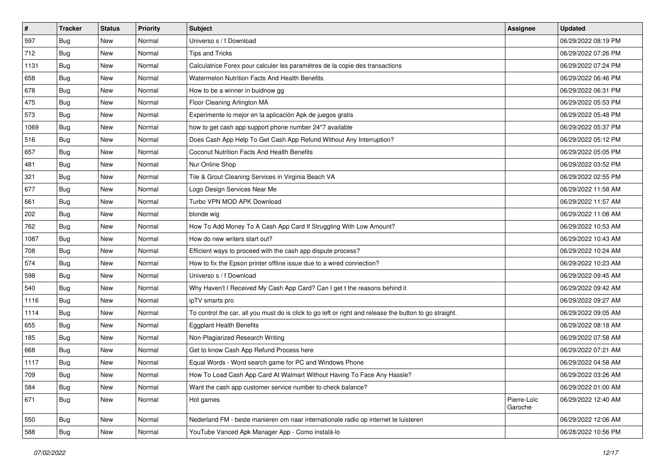| $\vert$ # | <b>Tracker</b> | <b>Status</b> | <b>Priority</b> | Subject                                                                                                 | <b>Assignee</b>        | <b>Updated</b>      |
|-----------|----------------|---------------|-----------------|---------------------------------------------------------------------------------------------------------|------------------------|---------------------|
| 597       | Bug            | New           | Normal          | Universo s / f Download                                                                                 |                        | 06/29/2022 08:19 PM |
| 712       | Bug            | New           | Normal          | Tips and Tricks                                                                                         |                        | 06/29/2022 07:26 PM |
| 1131      | <b>Bug</b>     | New           | Normal          | Calculatrice Forex pour calculer les paramètres de la copie des transactions                            |                        | 06/29/2022 07:24 PM |
| 658       | Bug            | New           | Normal          | Watermelon Nutrition Facts And Health Benefits                                                          |                        | 06/29/2022 06:46 PM |
| 678       | <b>Bug</b>     | New           | Normal          | How to be a winner in buidnow gg                                                                        |                        | 06/29/2022 06:31 PM |
| 475       | Bug            | New           | Normal          | Floor Cleaning Arlington MA                                                                             |                        | 06/29/2022 05:53 PM |
| 573       | Bug            | New           | Normal          | Experimente lo mejor en la aplicación Apk de juegos gratis                                              |                        | 06/29/2022 05:48 PM |
| 1069      | <b>Bug</b>     | New           | Normal          | how to get cash app support phone number 24*7 available                                                 |                        | 06/29/2022 05:37 PM |
| 516       | Bug            | New           | Normal          | Does Cash App Help To Get Cash App Refund Without Any Interruption?                                     |                        | 06/29/2022 05:12 PM |
| 657       | Bug            | New           | Normal          | Coconut Nutrition Facts And Health Benefits                                                             |                        | 06/29/2022 05:05 PM |
| 481       | <b>Bug</b>     | New           | Normal          | Nur Online Shop                                                                                         |                        | 06/29/2022 03:52 PM |
| 321       | <b>Bug</b>     | New           | Normal          | Tile & Grout Cleaning Services in Virginia Beach VA                                                     |                        | 06/29/2022 02:55 PM |
| 677       | Bug            | New           | Normal          | Logo Design Services Near Me                                                                            |                        | 06/29/2022 11:58 AM |
| 661       | Bug            | New           | Normal          | Turbo VPN MOD APK Download                                                                              |                        | 06/29/2022 11:57 AM |
| 202       | Bug            | New           | Normal          | blonde wig                                                                                              |                        | 06/29/2022 11:08 AM |
| 762       | <b>Bug</b>     | New           | Normal          | How To Add Money To A Cash App Card If Struggling With Low Amount?                                      |                        | 06/29/2022 10:53 AM |
| 1087      | Bug            | New           | Normal          | How do new writers start out?                                                                           |                        | 06/29/2022 10:43 AM |
| 708       | <b>Bug</b>     | New           | Normal          | Efficient ways to proceed with the cash app dispute process?                                            |                        | 06/29/2022 10:24 AM |
| 574       | Bug            | New           | Normal          | How to fix the Epson printer offline issue due to a wired connection?                                   |                        | 06/29/2022 10:23 AM |
| 598       | Bug            | New           | Normal          | Universo s / f Download                                                                                 |                        | 06/29/2022 09:45 AM |
| 540       | <b>Bug</b>     | New           | Normal          | Why Haven't I Received My Cash App Card? Can I get t the reasons behind it                              |                        | 06/29/2022 09:42 AM |
| 1116      | Bug            | New           | Normal          | ipTV smarts pro                                                                                         |                        | 06/29/2022 09:27 AM |
| 1114      | Bug            | New           | Normal          | To control the car, all you must do is click to go left or right and release the button to go straight. |                        | 06/29/2022 09:05 AM |
| 655       | <b>Bug</b>     | New           | Normal          | <b>Eggplant Health Benefits</b>                                                                         |                        | 06/29/2022 08:18 AM |
| 185       | <b>Bug</b>     | New           | Normal          | Non-Plagiarized Research Writing                                                                        |                        | 06/29/2022 07:58 AM |
| 668       | Bug            | New           | Normal          | Get to know Cash App Refund Process here                                                                |                        | 06/29/2022 07:21 AM |
| 1117      | <b>Bug</b>     | New           | Normal          | Equal Words - Word search game for PC and Windows Phone                                                 |                        | 06/29/2022 04:58 AM |
| 709       | i Bug          | New           | Normal          | How To Load Cash App Card At Walmart Without Having To Face Any Hassle?                                 |                        | 06/29/2022 03:26 AM |
| 584       | <b>Bug</b>     | New           | Normal          | Want the cash app customer service number to check balance?                                             |                        | 06/29/2022 01:00 AM |
| 671       | Bug            | New           | Normal          | Hot games                                                                                               | Pierre-Loïc<br>Garoche | 06/29/2022 12:40 AM |
| 550       | Bug            | New           | Normal          | Nederland FM - beste manieren om naar internationale radio op internet te luisteren                     |                        | 06/29/2022 12:06 AM |
| 588       | Bug            | New           | Normal          | YouTube Vanced Apk Manager App - Como instalá-lo                                                        |                        | 06/28/2022 10:56 PM |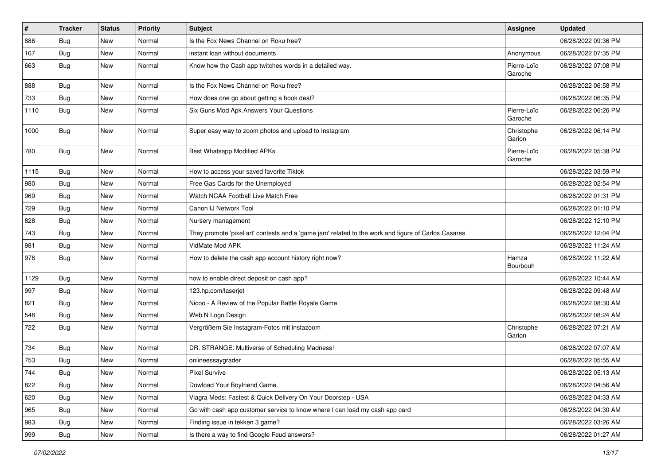| #    | <b>Tracker</b> | <b>Status</b> | Priority | <b>Subject</b>                                                                                      | Assignee               | <b>Updated</b>      |
|------|----------------|---------------|----------|-----------------------------------------------------------------------------------------------------|------------------------|---------------------|
| 886  | <b>Bug</b>     | New           | Normal   | Is the Fox News Channel on Roku free?                                                               |                        | 06/28/2022 09:36 PM |
| 167  | Bug            | New           | Normal   | instant loan without documents                                                                      | Anonymous              | 06/28/2022 07:35 PM |
| 663  | Bug            | New           | Normal   | Know how the Cash app twitches words in a detailed way.                                             | Pierre-Loïc<br>Garoche | 06/28/2022 07:08 PM |
| 888  | Bug            | New           | Normal   | Is the Fox News Channel on Roku free?                                                               |                        | 06/28/2022 06:58 PM |
| 733  | Bug            | New           | Normal   | How does one go about getting a book deal?                                                          |                        | 06/28/2022 06:35 PM |
| 1110 | Bug            | New           | Normal   | Six Guns Mod Apk Answers Your Questions                                                             | Pierre-Loïc<br>Garoche | 06/28/2022 06:26 PM |
| 1000 | Bug            | New           | Normal   | Super easy way to zoom photos and upload to Instagram                                               | Christophe<br>Garion   | 06/28/2022 06:14 PM |
| 780  | <b>Bug</b>     | New           | Normal   | Best Whatsapp Modified APKs                                                                         | Pierre-Loïc<br>Garoche | 06/28/2022 05:38 PM |
| 1115 | Bug            | <b>New</b>    | Normal   | How to access your saved favorite Tiktok                                                            |                        | 06/28/2022 03:59 PM |
| 980  | Bug            | New           | Normal   | Free Gas Cards for the Unemployed                                                                   |                        | 06/28/2022 02:54 PM |
| 969  | <b>Bug</b>     | New           | Normal   | Watch NCAA Football Live Match Free                                                                 |                        | 06/28/2022 01:31 PM |
| 729  | Bug            | New           | Normal   | Canon IJ Network Tool                                                                               |                        | 06/28/2022 01:10 PM |
| 828  | Bug            | New           | Normal   | Nursery management                                                                                  |                        | 06/28/2022 12:10 PM |
| 743  | Bug            | New           | Normal   | They promote 'pixel art' contests and a 'game jam' related to the work and figure of Carlos Casares |                        | 06/28/2022 12:04 PM |
| 981  | <b>Bug</b>     | New           | Normal   | VidMate Mod APK                                                                                     |                        | 06/28/2022 11:24 AM |
| 976  | <b>Bug</b>     | New           | Normal   | How to delete the cash app account history right now?                                               | Hamza<br>Bourbouh      | 06/28/2022 11:22 AM |
| 1129 | <b>Bug</b>     | New           | Normal   | how to enable direct deposit on cash app?                                                           |                        | 06/28/2022 10:44 AM |
| 997  | <b>Bug</b>     | New           | Normal   | 123.hp.com/laserjet                                                                                 |                        | 06/28/2022 09:48 AM |
| 821  | Bug            | New           | Normal   | Nicoo - A Review of the Popular Battle Royale Game                                                  |                        | 06/28/2022 08:30 AM |
| 548  | <b>Bug</b>     | New           | Normal   | Web N Logo Design                                                                                   |                        | 06/28/2022 08:24 AM |
| 722  | <b>Bug</b>     | New           | Normal   | Vergrößern Sie Instagram-Fotos mit instazoom                                                        | Christophe<br>Garion   | 06/28/2022 07:21 AM |
| 734  | <b>Bug</b>     | New           | Normal   | DR. STRANGE: Multiverse of Scheduling Madness!                                                      |                        | 06/28/2022 07:07 AM |
| 753  | <b>Bug</b>     | New           | Normal   | onlineessaygrader                                                                                   |                        | 06/28/2022 05:55 AM |
| 744  | Bug            | New           | Normal   | <b>Pixel Survive</b>                                                                                |                        | 06/28/2022 05:13 AM |
| 822  | Bug            | New           | Normal   | Dowload Your Boyfriend Game                                                                         |                        | 06/28/2022 04:56 AM |
| 620  | <b>Bug</b>     | New           | Normal   | Viagra Meds: Fastest & Quick Delivery On Your Doorstep - USA                                        |                        | 06/28/2022 04:33 AM |
| 965  | <b>Bug</b>     | New           | Normal   | Go with cash app customer service to know where I can load my cash app card                         |                        | 06/28/2022 04:30 AM |
| 983  | <b>Bug</b>     | New           | Normal   | Finding issue in tekken 3 game?                                                                     |                        | 06/28/2022 03:26 AM |
| 999  | <b>Bug</b>     | New           | Normal   | Is there a way to find Google Feud answers?                                                         |                        | 06/28/2022 01:27 AM |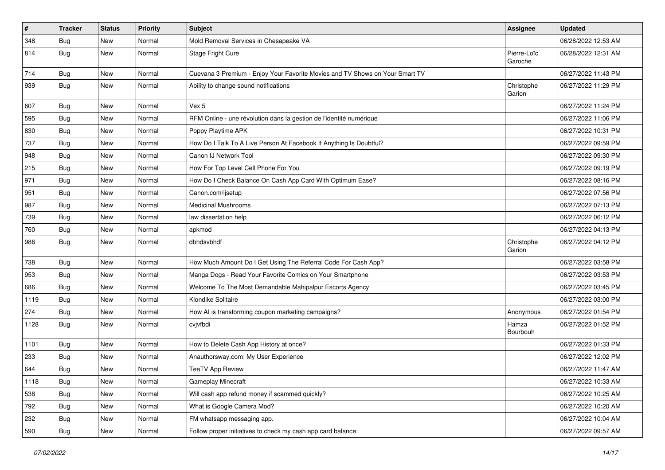| $\sharp$ | <b>Tracker</b> | <b>Status</b> | Priority | Subject                                                                      | Assignee               | <b>Updated</b>      |
|----------|----------------|---------------|----------|------------------------------------------------------------------------------|------------------------|---------------------|
| 348      | <b>Bug</b>     | New           | Normal   | Mold Removal Services in Chesapeake VA                                       |                        | 06/28/2022 12:53 AM |
| 814      | <b>Bug</b>     | New           | Normal   | Stage Fright Cure                                                            | Pierre-Loïc<br>Garoche | 06/28/2022 12:31 AM |
| 714      | <b>Bug</b>     | <b>New</b>    | Normal   | Cuevana 3 Premium - Enjoy Your Favorite Movies and TV Shows on Your Smart TV |                        | 06/27/2022 11:43 PM |
| 939      | Bug            | <b>New</b>    | Normal   | Ability to change sound notifications                                        | Christophe<br>Garion   | 06/27/2022 11:29 PM |
| 607      | Bug            | <b>New</b>    | Normal   | Vex 5                                                                        |                        | 06/27/2022 11:24 PM |
| 595      | Bug            | New           | Normal   | RFM Online - une révolution dans la gestion de l'identité numérique          |                        | 06/27/2022 11:06 PM |
| 830      | <b>Bug</b>     | <b>New</b>    | Normal   | Poppy Playtime APK                                                           |                        | 06/27/2022 10:31 PM |
| 737      | Bug            | New           | Normal   | How Do I Talk To A Live Person At Facebook If Anything Is Doubtful?          |                        | 06/27/2022 09:59 PM |
| 948      | <b>Bug</b>     | New           | Normal   | Canon IJ Network Tool                                                        |                        | 06/27/2022 09:30 PM |
| 215      | Bug            | New           | Normal   | How For Top Level Cell Phone For You                                         |                        | 06/27/2022 09:19 PM |
| 971      | Bug            | <b>New</b>    | Normal   | How Do I Check Balance On Cash App Card With Optimum Ease?                   |                        | 06/27/2022 08:16 PM |
| 951      | <b>Bug</b>     | New           | Normal   | Canon.com/ijsetup                                                            |                        | 06/27/2022 07:56 PM |
| 987      | <b>Bug</b>     | New           | Normal   | <b>Medicinal Mushrooms</b>                                                   |                        | 06/27/2022 07:13 PM |
| 739      | Bug            | New           | Normal   | law dissertation help                                                        |                        | 06/27/2022 06:12 PM |
| 760      | <b>Bug</b>     | New           | Normal   | apkmod                                                                       |                        | 06/27/2022 04:13 PM |
| 986      | Bug            | <b>New</b>    | Normal   | dbhdsvbhdf                                                                   | Christophe<br>Garion   | 06/27/2022 04:12 PM |
| 738      | Bug            | New           | Normal   | How Much Amount Do I Get Using The Referral Code For Cash App?               |                        | 06/27/2022 03:58 PM |
| 953      | Bug            | New           | Normal   | Manga Dogs - Read Your Favorite Comics on Your Smartphone                    |                        | 06/27/2022 03:53 PM |
| 686      | Bug            | <b>New</b>    | Normal   | Welcome To The Most Demandable Mahipalpur Escorts Agency                     |                        | 06/27/2022 03:45 PM |
| 1119     | Bug            | New           | Normal   | Klondike Solitaire                                                           |                        | 06/27/2022 03:00 PM |
| 274      | <b>Bug</b>     | New           | Normal   | How AI is transforming coupon marketing campaigns?                           | Anonymous              | 06/27/2022 01:54 PM |
| 1128     | <b>Bug</b>     | New           | Normal   | cvjvfbdi                                                                     | Hamza<br>Bourbouh      | 06/27/2022 01:52 PM |
| 1101     | Bug            | <b>New</b>    | Normal   | How to Delete Cash App History at once?                                      |                        | 06/27/2022 01:33 PM |
| 233      | <b>Bug</b>     | New           | Normal   | Anauthorsway.com: My User Experience                                         |                        | 06/27/2022 12:02 PM |
| 644      | <b>Bug</b>     | New           | Normal   | <b>TeaTV App Review</b>                                                      |                        | 06/27/2022 11:47 AM |
| 1118     | <b>Bug</b>     | New           | Normal   | Gameplay Minecraft                                                           |                        | 06/27/2022 10:33 AM |
| 538      | Bug            | <b>New</b>    | Normal   | Will cash app refund money if scammed quickly?                               |                        | 06/27/2022 10:25 AM |
| 792      | <b>Bug</b>     | New           | Normal   | What is Google Camera Mod?                                                   |                        | 06/27/2022 10:20 AM |
| 232      | <b>Bug</b>     | New           | Normal   | FM whatsapp messaging app.                                                   |                        | 06/27/2022 10:04 AM |
| 590      | <b>Bug</b>     | New           | Normal   | Follow proper initiatives to check my cash app card balance:                 |                        | 06/27/2022 09:57 AM |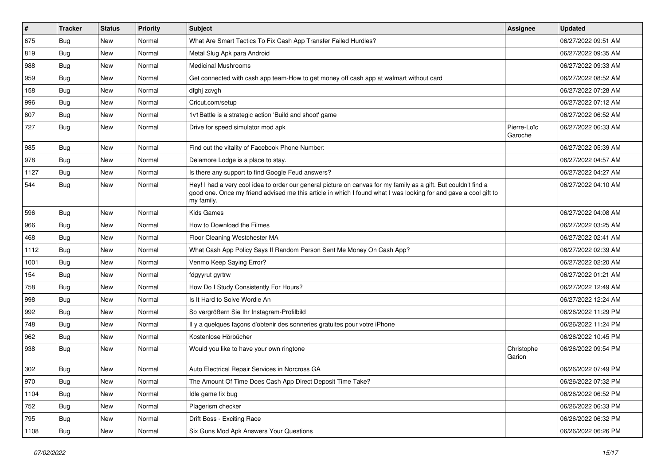| $\vert$ # | <b>Tracker</b> | <b>Status</b> | <b>Priority</b> | <b>Subject</b>                                                                                                                                                                                                                                    | <b>Assignee</b>        | <b>Updated</b>      |
|-----------|----------------|---------------|-----------------|---------------------------------------------------------------------------------------------------------------------------------------------------------------------------------------------------------------------------------------------------|------------------------|---------------------|
| 675       | <b>Bug</b>     | New           | Normal          | What Are Smart Tactics To Fix Cash App Transfer Failed Hurdles?                                                                                                                                                                                   |                        | 06/27/2022 09:51 AM |
| 819       | Bug            | New           | Normal          | Metal Slug Apk para Android                                                                                                                                                                                                                       |                        | 06/27/2022 09:35 AM |
| 988       | Bug            | New           | Normal          | <b>Medicinal Mushrooms</b>                                                                                                                                                                                                                        |                        | 06/27/2022 09:33 AM |
| 959       | <b>Bug</b>     | New           | Normal          | Get connected with cash app team-How to get money off cash app at walmart without card                                                                                                                                                            |                        | 06/27/2022 08:52 AM |
| 158       | Bug            | New           | Normal          | dfghj zcvgh                                                                                                                                                                                                                                       |                        | 06/27/2022 07:28 AM |
| 996       | Bug            | New           | Normal          | Cricut.com/setup                                                                                                                                                                                                                                  |                        | 06/27/2022 07:12 AM |
| 807       | Bug            | New           | Normal          | 1v1Battle is a strategic action 'Build and shoot' game                                                                                                                                                                                            |                        | 06/27/2022 06:52 AM |
| 727       | <b>Bug</b>     | New           | Normal          | Drive for speed simulator mod apk                                                                                                                                                                                                                 | Pierre-Loïc<br>Garoche | 06/27/2022 06:33 AM |
| 985       | Bug            | New           | Normal          | Find out the vitality of Facebook Phone Number:                                                                                                                                                                                                   |                        | 06/27/2022 05:39 AM |
| 978       | Bug            | New           | Normal          | Delamore Lodge is a place to stay.                                                                                                                                                                                                                |                        | 06/27/2022 04:57 AM |
| 1127      | <b>Bug</b>     | New           | Normal          | Is there any support to find Google Feud answers?                                                                                                                                                                                                 |                        | 06/27/2022 04:27 AM |
| 544       | Bug            | New           | Normal          | Hey! I had a very cool idea to order our general picture on canvas for my family as a gift. But couldn't find a<br>good one. Once my friend advised me this article in which I found what I was looking for and gave a cool gift to<br>my family. |                        | 06/27/2022 04:10 AM |
| 596       | Bug            | New           | Normal          | <b>Kids Games</b>                                                                                                                                                                                                                                 |                        | 06/27/2022 04:08 AM |
| 966       | Bug            | New           | Normal          | How to Download the Filmes                                                                                                                                                                                                                        |                        | 06/27/2022 03:25 AM |
| 468       | Bug            | New           | Normal          | Floor Cleaning Westchester MA                                                                                                                                                                                                                     |                        | 06/27/2022 02:41 AM |
| 1112      | Bug            | New           | Normal          | What Cash App Policy Says If Random Person Sent Me Money On Cash App?                                                                                                                                                                             |                        | 06/27/2022 02:39 AM |
| 1001      | Bug            | New           | Normal          | Venmo Keep Saying Error?                                                                                                                                                                                                                          |                        | 06/27/2022 02:20 AM |
| 154       | Bug            | New           | Normal          | fdgyyrut gyrtrw                                                                                                                                                                                                                                   |                        | 06/27/2022 01:21 AM |
| 758       | <b>Bug</b>     | New           | Normal          | How Do I Study Consistently For Hours?                                                                                                                                                                                                            |                        | 06/27/2022 12:49 AM |
| 998       | Bug            | New           | Normal          | Is It Hard to Solve Wordle An                                                                                                                                                                                                                     |                        | 06/27/2022 12:24 AM |
| 992       | Bug            | New           | Normal          | So vergrößern Sie Ihr Instagram-Profilbild                                                                                                                                                                                                        |                        | 06/26/2022 11:29 PM |
| 748       | <b>Bug</b>     | New           | Normal          | Il y a quelques façons d'obtenir des sonneries gratuites pour votre iPhone                                                                                                                                                                        |                        | 06/26/2022 11:24 PM |
| 962       | Bug            | New           | Normal          | Kostenlose Hörbücher                                                                                                                                                                                                                              |                        | 06/26/2022 10:45 PM |
| 938       | <b>Bug</b>     | New           | Normal          | Would you like to have your own ringtone                                                                                                                                                                                                          | Christophe<br>Garion   | 06/26/2022 09:54 PM |
| 302       | <b>Bug</b>     | New           | Normal          | Auto Electrical Repair Services in Norcross GA                                                                                                                                                                                                    |                        | 06/26/2022 07:49 PM |
| 970       | <b>Bug</b>     | New           | Normal          | The Amount Of Time Does Cash App Direct Deposit Time Take?                                                                                                                                                                                        |                        | 06/26/2022 07:32 PM |
| 1104      | Bug            | New           | Normal          | Idle game fix bug                                                                                                                                                                                                                                 |                        | 06/26/2022 06:52 PM |
| 752       | <b>Bug</b>     | New           | Normal          | Plagerism checker                                                                                                                                                                                                                                 |                        | 06/26/2022 06:33 PM |
| 795       | Bug            | New           | Normal          | Drift Boss - Exciting Race                                                                                                                                                                                                                        |                        | 06/26/2022 06:32 PM |
| 1108      | Bug            | New           | Normal          | Six Guns Mod Apk Answers Your Questions                                                                                                                                                                                                           |                        | 06/26/2022 06:26 PM |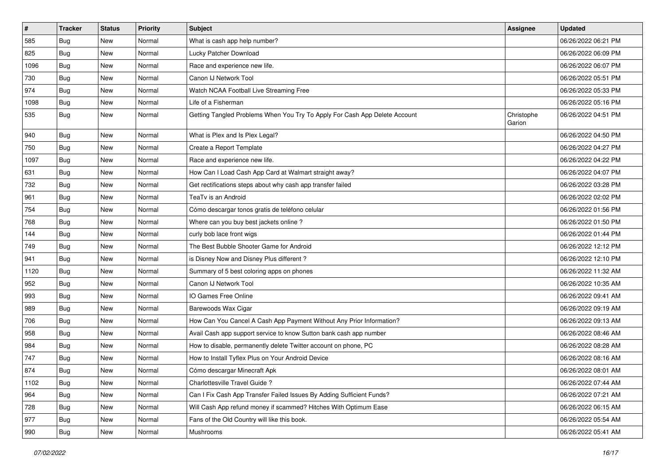| $\vert$ # | <b>Tracker</b> | <b>Status</b> | <b>Priority</b> | Subject                                                                    | Assignee             | <b>Updated</b>      |
|-----------|----------------|---------------|-----------------|----------------------------------------------------------------------------|----------------------|---------------------|
| 585       | Bug            | New           | Normal          | What is cash app help number?                                              |                      | 06/26/2022 06:21 PM |
| 825       | Bug            | <b>New</b>    | Normal          | Lucky Patcher Download                                                     |                      | 06/26/2022 06:09 PM |
| 1096      | Bug            | New           | Normal          | Race and experience new life.                                              |                      | 06/26/2022 06:07 PM |
| 730       | Bug            | New           | Normal          | Canon IJ Network Tool                                                      |                      | 06/26/2022 05:51 PM |
| 974       | Bug            | New           | Normal          | Watch NCAA Football Live Streaming Free                                    |                      | 06/26/2022 05:33 PM |
| 1098      | Bug            | New           | Normal          | Life of a Fisherman                                                        |                      | 06/26/2022 05:16 PM |
| 535       | <b>Bug</b>     | New           | Normal          | Getting Tangled Problems When You Try To Apply For Cash App Delete Account | Christophe<br>Garion | 06/26/2022 04:51 PM |
| 940       | Bug            | New           | Normal          | What is Plex and Is Plex Legal?                                            |                      | 06/26/2022 04:50 PM |
| 750       | Bug            | <b>New</b>    | Normal          | Create a Report Template                                                   |                      | 06/26/2022 04:27 PM |
| 1097      | <b>Bug</b>     | New           | Normal          | Race and experience new life.                                              |                      | 06/26/2022 04:22 PM |
| 631       | Bug            | New           | Normal          | How Can I Load Cash App Card at Walmart straight away?                     |                      | 06/26/2022 04:07 PM |
| 732       | <b>Bug</b>     | New           | Normal          | Get rectifications steps about why cash app transfer failed                |                      | 06/26/2022 03:28 PM |
| 961       | Bug            | New           | Normal          | TeaTv is an Android                                                        |                      | 06/26/2022 02:02 PM |
| 754       | Bug            | <b>New</b>    | Normal          | Cómo descargar tonos gratis de teléfono celular                            |                      | 06/26/2022 01:56 PM |
| 768       | Bug            | New           | Normal          | Where can you buy best jackets online?                                     |                      | 06/26/2022 01:50 PM |
| 144       | Bug            | New           | Normal          | curly bob lace front wigs                                                  |                      | 06/26/2022 01:44 PM |
| 749       | Bug            | New           | Normal          | The Best Bubble Shooter Game for Android                                   |                      | 06/26/2022 12:12 PM |
| 941       | <b>Bug</b>     | New           | Normal          | is Disney Now and Disney Plus different?                                   |                      | 06/26/2022 12:10 PM |
| 1120      | <b>Bug</b>     | New           | Normal          | Summary of 5 best coloring apps on phones                                  |                      | 06/26/2022 11:32 AM |
| 952       | Bug            | New           | Normal          | Canon IJ Network Tool                                                      |                      | 06/26/2022 10:35 AM |
| 993       | <b>Bug</b>     | New           | Normal          | IO Games Free Online                                                       |                      | 06/26/2022 09:41 AM |
| 989       | Bug            | New           | Normal          | Barewoods Wax Cigar                                                        |                      | 06/26/2022 09:19 AM |
| 706       | <b>Bug</b>     | New           | Normal          | How Can You Cancel A Cash App Payment Without Any Prior Information?       |                      | 06/26/2022 09:13 AM |
| 958       | Bug            | New           | Normal          | Avail Cash app support service to know Sutton bank cash app number         |                      | 06/26/2022 08:46 AM |
| 984       | <b>Bug</b>     | New           | Normal          | How to disable, permanently delete Twitter account on phone, PC            |                      | 06/26/2022 08:28 AM |
| 747       | Bug            | New           | Normal          | How to Install Tyflex Plus on Your Android Device                          |                      | 06/26/2022 08:16 AM |
| 874       | <b>Bug</b>     | New           | Normal          | Cómo descargar Minecraft Apk                                               |                      | 06/26/2022 08:01 AM |
| 1102      | <b>Bug</b>     | New           | Normal          | Charlottesville Travel Guide ?                                             |                      | 06/26/2022 07:44 AM |
| 964       | <b>Bug</b>     | New           | Normal          | Can I Fix Cash App Transfer Failed Issues By Adding Sufficient Funds?      |                      | 06/26/2022 07:21 AM |
| 728       | Bug            | New           | Normal          | Will Cash App refund money if scammed? Hitches With Optimum Ease           |                      | 06/26/2022 06:15 AM |
| 977       | <b>Bug</b>     | New           | Normal          | Fans of the Old Country will like this book.                               |                      | 06/26/2022 05:54 AM |
| 990       | <b>Bug</b>     | New           | Normal          | Mushrooms                                                                  |                      | 06/26/2022 05:41 AM |